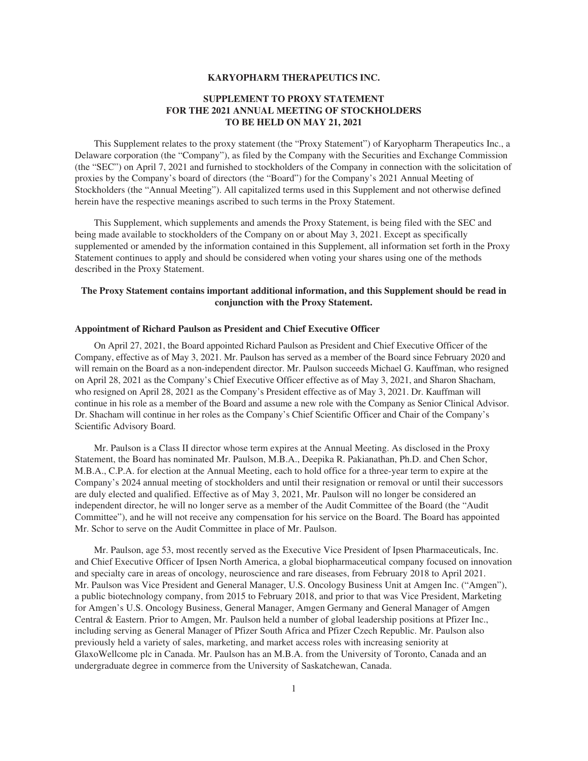## **KARYOPHARM THERAPEUTICS INC.**

# **SUPPLEMENT TO PROXY STATEMENT FOR THE 2021 ANNUAL MEETING OF STOCKHOLDERS TO BE HELD ON MAY 21, 2021**

This Supplement relates to the proxy statement (the "Proxy Statement") of Karyopharm Therapeutics Inc., a Delaware corporation (the "Company"), as filed by the Company with the Securities and Exchange Commission (the "SEC") on April 7, 2021 and furnished to stockholders of the Company in connection with the solicitation of proxies by the Company's board of directors (the "Board") for the Company's 2021 Annual Meeting of Stockholders (the "Annual Meeting"). All capitalized terms used in this Supplement and not otherwise defined herein have the respective meanings ascribed to such terms in the Proxy Statement.

This Supplement, which supplements and amends the Proxy Statement, is being filed with the SEC and being made available to stockholders of the Company on or about May 3, 2021. Except as specifically supplemented or amended by the information contained in this Supplement, all information set forth in the Proxy Statement continues to apply and should be considered when voting your shares using one of the methods described in the Proxy Statement.

## **The Proxy Statement contains important additional information, and this Supplement should be read in conjunction with the Proxy Statement.**

## **Appointment of Richard Paulson as President and Chief Executive Officer**

On April 27, 2021, the Board appointed Richard Paulson as President and Chief Executive Officer of the Company, effective as of May 3, 2021. Mr. Paulson has served as a member of the Board since February 2020 and will remain on the Board as a non-independent director. Mr. Paulson succeeds Michael G. Kauffman, who resigned on April 28, 2021 as the Company's Chief Executive Officer effective as of May 3, 2021, and Sharon Shacham, who resigned on April 28, 2021 as the Company's President effective as of May 3, 2021. Dr. Kauffman will continue in his role as a member of the Board and assume a new role with the Company as Senior Clinical Advisor. Dr. Shacham will continue in her roles as the Company's Chief Scientific Officer and Chair of the Company's Scientific Advisory Board.

Mr. Paulson is a Class II director whose term expires at the Annual Meeting. As disclosed in the Proxy Statement, the Board has nominated Mr. Paulson, M.B.A., Deepika R. Pakianathan, Ph.D. and Chen Schor, M.B.A., C.P.A. for election at the Annual Meeting, each to hold office for a three-year term to expire at the Company's 2024 annual meeting of stockholders and until their resignation or removal or until their successors are duly elected and qualified. Effective as of May 3, 2021, Mr. Paulson will no longer be considered an independent director, he will no longer serve as a member of the Audit Committee of the Board (the "Audit Committee"), and he will not receive any compensation for his service on the Board. The Board has appointed Mr. Schor to serve on the Audit Committee in place of Mr. Paulson.

Mr. Paulson, age 53, most recently served as the Executive Vice President of Ipsen Pharmaceuticals, Inc. and Chief Executive Officer of Ipsen North America, a global biopharmaceutical company focused on innovation and specialty care in areas of oncology, neuroscience and rare diseases, from February 2018 to April 2021. Mr. Paulson was Vice President and General Manager, U.S. Oncology Business Unit at Amgen Inc. ("Amgen"), a public biotechnology company, from 2015 to February 2018, and prior to that was Vice President, Marketing for Amgen's U.S. Oncology Business, General Manager, Amgen Germany and General Manager of Amgen Central & Eastern. Prior to Amgen, Mr. Paulson held a number of global leadership positions at Pfizer Inc., including serving as General Manager of Pfizer South Africa and Pfizer Czech Republic. Mr. Paulson also previously held a variety of sales, marketing, and market access roles with increasing seniority at GlaxoWellcome plc in Canada. Mr. Paulson has an M.B.A. from the University of Toronto, Canada and an undergraduate degree in commerce from the University of Saskatchewan, Canada.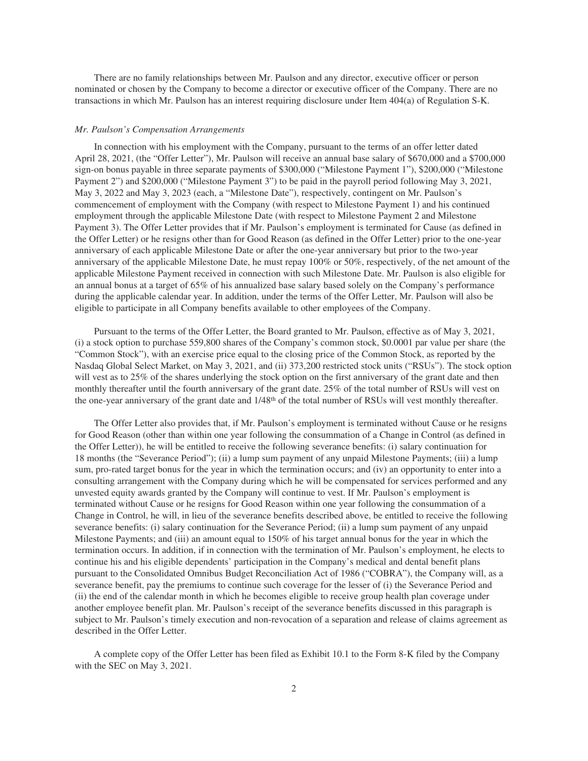There are no family relationships between Mr. Paulson and any director, executive officer or person nominated or chosen by the Company to become a director or executive officer of the Company. There are no transactions in which Mr. Paulson has an interest requiring disclosure under Item 404(a) of Regulation S-K.

### *Mr. Paulson's Compensation Arrangements*

In connection with his employment with the Company, pursuant to the terms of an offer letter dated April 28, 2021, (the "Offer Letter"), Mr. Paulson will receive an annual base salary of \$670,000 and a \$700,000 sign-on bonus payable in three separate payments of \$300,000 ("Milestone Payment 1"), \$200,000 ("Milestone Payment 2") and \$200,000 ("Milestone Payment 3") to be paid in the payroll period following May 3, 2021, May 3, 2022 and May 3, 2023 (each, a "Milestone Date"), respectively, contingent on Mr. Paulson's commencement of employment with the Company (with respect to Milestone Payment 1) and his continued employment through the applicable Milestone Date (with respect to Milestone Payment 2 and Milestone Payment 3). The Offer Letter provides that if Mr. Paulson's employment is terminated for Cause (as defined in the Offer Letter) or he resigns other than for Good Reason (as defined in the Offer Letter) prior to the one-year anniversary of each applicable Milestone Date or after the one-year anniversary but prior to the two-year anniversary of the applicable Milestone Date, he must repay 100% or 50%, respectively, of the net amount of the applicable Milestone Payment received in connection with such Milestone Date. Mr. Paulson is also eligible for an annual bonus at a target of 65% of his annualized base salary based solely on the Company's performance during the applicable calendar year. In addition, under the terms of the Offer Letter, Mr. Paulson will also be eligible to participate in all Company benefits available to other employees of the Company.

Pursuant to the terms of the Offer Letter, the Board granted to Mr. Paulson, effective as of May 3, 2021, (i) a stock option to purchase 559,800 shares of the Company's common stock, \$0.0001 par value per share (the "Common Stock"), with an exercise price equal to the closing price of the Common Stock, as reported by the Nasdaq Global Select Market, on May 3, 2021, and (ii) 373,200 restricted stock units ("RSUs"). The stock option will vest as to 25% of the shares underlying the stock option on the first anniversary of the grant date and then monthly thereafter until the fourth anniversary of the grant date. 25% of the total number of RSUs will vest on the one-year anniversary of the grant date and  $1/48<sup>th</sup>$  of the total number of RSUs will vest monthly thereafter.

The Offer Letter also provides that, if Mr. Paulson's employment is terminated without Cause or he resigns for Good Reason (other than within one year following the consummation of a Change in Control (as defined in the Offer Letter)), he will be entitled to receive the following severance benefits: (i) salary continuation for 18 months (the "Severance Period"); (ii) a lump sum payment of any unpaid Milestone Payments; (iii) a lump sum, pro-rated target bonus for the year in which the termination occurs; and (iv) an opportunity to enter into a consulting arrangement with the Company during which he will be compensated for services performed and any unvested equity awards granted by the Company will continue to vest. If Mr. Paulson's employment is terminated without Cause or he resigns for Good Reason within one year following the consummation of a Change in Control, he will, in lieu of the severance benefits described above, be entitled to receive the following severance benefits: (i) salary continuation for the Severance Period; (ii) a lump sum payment of any unpaid Milestone Payments; and (iii) an amount equal to 150% of his target annual bonus for the year in which the termination occurs. In addition, if in connection with the termination of Mr. Paulson's employment, he elects to continue his and his eligible dependents' participation in the Company's medical and dental benefit plans pursuant to the Consolidated Omnibus Budget Reconciliation Act of 1986 ("COBRA"), the Company will, as a severance benefit, pay the premiums to continue such coverage for the lesser of (i) the Severance Period and (ii) the end of the calendar month in which he becomes eligible to receive group health plan coverage under another employee benefit plan. Mr. Paulson's receipt of the severance benefits discussed in this paragraph is subject to Mr. Paulson's timely execution and non-revocation of a separation and release of claims agreement as described in the Offer Letter.

A complete copy of the Offer Letter has been filed as Exhibit 10.1 to the Form 8-K filed by the Company with the SEC on May 3, 2021.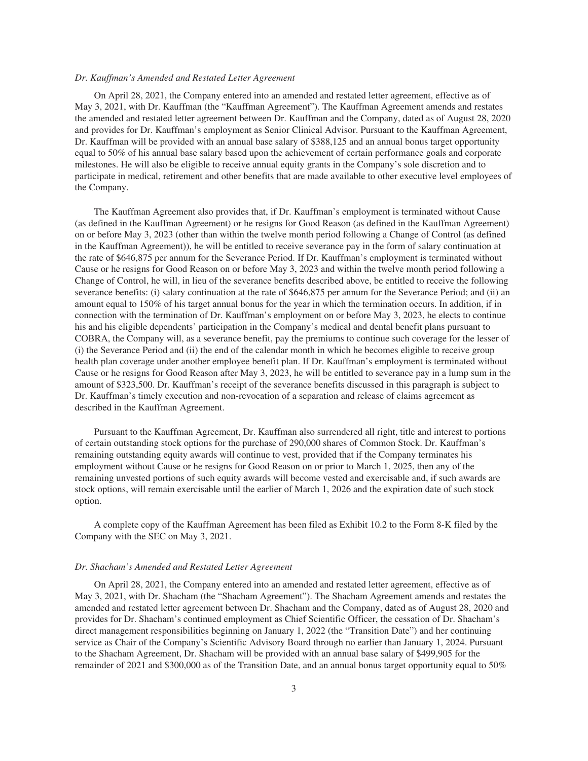## *Dr. Kauffman's Amended and Restated Letter Agreement*

On April 28, 2021, the Company entered into an amended and restated letter agreement, effective as of May 3, 2021, with Dr. Kauffman (the "Kauffman Agreement"). The Kauffman Agreement amends and restates the amended and restated letter agreement between Dr. Kauffman and the Company, dated as of August 28, 2020 and provides for Dr. Kauffman's employment as Senior Clinical Advisor. Pursuant to the Kauffman Agreement, Dr. Kauffman will be provided with an annual base salary of \$388,125 and an annual bonus target opportunity equal to 50% of his annual base salary based upon the achievement of certain performance goals and corporate milestones. He will also be eligible to receive annual equity grants in the Company's sole discretion and to participate in medical, retirement and other benefits that are made available to other executive level employees of the Company.

The Kauffman Agreement also provides that, if Dr. Kauffman's employment is terminated without Cause (as defined in the Kauffman Agreement) or he resigns for Good Reason (as defined in the Kauffman Agreement) on or before May 3, 2023 (other than within the twelve month period following a Change of Control (as defined in the Kauffman Agreement)), he will be entitled to receive severance pay in the form of salary continuation at the rate of \$646,875 per annum for the Severance Period. If Dr. Kauffman's employment is terminated without Cause or he resigns for Good Reason on or before May 3, 2023 and within the twelve month period following a Change of Control, he will, in lieu of the severance benefits described above, be entitled to receive the following severance benefits: (i) salary continuation at the rate of \$646,875 per annum for the Severance Period; and (ii) an amount equal to 150% of his target annual bonus for the year in which the termination occurs. In addition, if in connection with the termination of Dr. Kauffman's employment on or before May 3, 2023, he elects to continue his and his eligible dependents' participation in the Company's medical and dental benefit plans pursuant to COBRA, the Company will, as a severance benefit, pay the premiums to continue such coverage for the lesser of (i) the Severance Period and (ii) the end of the calendar month in which he becomes eligible to receive group health plan coverage under another employee benefit plan. If Dr. Kauffman's employment is terminated without Cause or he resigns for Good Reason after May 3, 2023, he will be entitled to severance pay in a lump sum in the amount of \$323,500. Dr. Kauffman's receipt of the severance benefits discussed in this paragraph is subject to Dr. Kauffman's timely execution and non-revocation of a separation and release of claims agreement as described in the Kauffman Agreement.

Pursuant to the Kauffman Agreement, Dr. Kauffman also surrendered all right, title and interest to portions of certain outstanding stock options for the purchase of 290,000 shares of Common Stock. Dr. Kauffman's remaining outstanding equity awards will continue to vest, provided that if the Company terminates his employment without Cause or he resigns for Good Reason on or prior to March 1, 2025, then any of the remaining unvested portions of such equity awards will become vested and exercisable and, if such awards are stock options, will remain exercisable until the earlier of March 1, 2026 and the expiration date of such stock option.

A complete copy of the Kauffman Agreement has been filed as Exhibit 10.2 to the Form 8-K filed by the Company with the SEC on May 3, 2021.

#### *Dr. Shacham's Amended and Restated Letter Agreement*

On April 28, 2021, the Company entered into an amended and restated letter agreement, effective as of May 3, 2021, with Dr. Shacham (the "Shacham Agreement"). The Shacham Agreement amends and restates the amended and restated letter agreement between Dr. Shacham and the Company, dated as of August 28, 2020 and provides for Dr. Shacham's continued employment as Chief Scientific Officer, the cessation of Dr. Shacham's direct management responsibilities beginning on January 1, 2022 (the "Transition Date") and her continuing service as Chair of the Company's Scientific Advisory Board through no earlier than January 1, 2024. Pursuant to the Shacham Agreement, Dr. Shacham will be provided with an annual base salary of \$499,905 for the remainder of 2021 and \$300,000 as of the Transition Date, and an annual bonus target opportunity equal to 50%